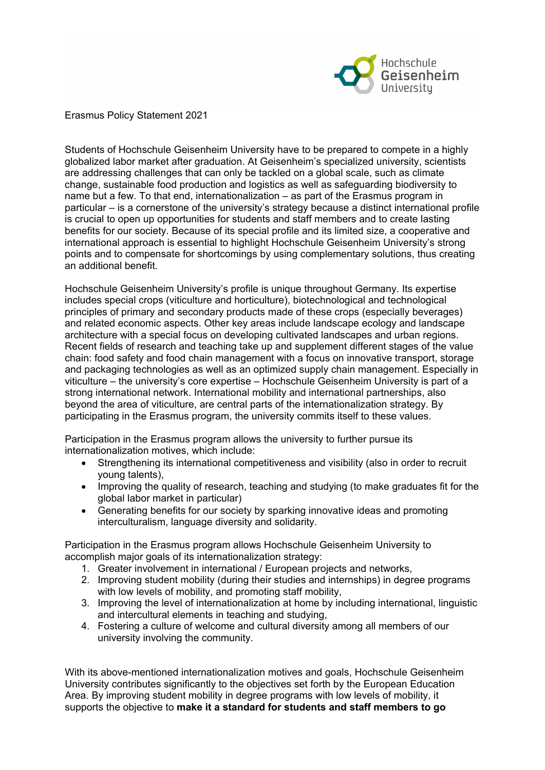

Erasmus Policy Statement 2021

Students of Hochschule Geisenheim University have to be prepared to compete in a highly globalized labor market after graduation. At Geisenheim's specialized university, scientists are addressing challenges that can only be tackled on a global scale, such as climate change, sustainable food production and logistics as well as safeguarding biodiversity to name but a few. To that end, internationalization – as part of the Erasmus program in particular – is a cornerstone of the university's strategy because a distinct international profile is crucial to open up opportunities for students and staff members and to create lasting benefits for our society. Because of its special profile and its limited size, a cooperative and international approach is essential to highlight Hochschule Geisenheim University's strong points and to compensate for shortcomings by using complementary solutions, thus creating an additional benefit.

Hochschule Geisenheim University's profile is unique throughout Germany. Its expertise includes special crops (viticulture and horticulture), biotechnological and technological principles of primary and secondary products made of these crops (especially beverages) and related economic aspects. Other key areas include landscape ecology and landscape architecture with a special focus on developing cultivated landscapes and urban regions. Recent fields of research and teaching take up and supplement different stages of the value chain: food safety and food chain management with a focus on innovative transport, storage and packaging technologies as well as an optimized supply chain management. Especially in viticulture – the university's core expertise – Hochschule Geisenheim University is part of a strong international network. International mobility and international partnerships, also beyond the area of viticulture, are central parts of the internationalization strategy. By participating in the Erasmus program, the university commits itself to these values.

Participation in the Erasmus program allows the university to further pursue its internationalization motives, which include:

- Strengthening its international competitiveness and visibility (also in order to recruit young talents),
- Improving the quality of research, teaching and studying (to make graduates fit for the global labor market in particular)
- Generating benefits for our society by sparking innovative ideas and promoting interculturalism, language diversity and solidarity.

Participation in the Erasmus program allows Hochschule Geisenheim University to accomplish major goals of its internationalization strategy:

- 1. Greater involvement in international / European projects and networks,
- 2. Improving student mobility (during their studies and internships) in degree programs with low levels of mobility, and promoting staff mobility,
- 3. Improving the level of internationalization at home by including international, linguistic and intercultural elements in teaching and studying,
- 4. Fostering a culture of welcome and cultural diversity among all members of our university involving the community.

With its above-mentioned internationalization motives and goals, Hochschule Geisenheim University contributes significantly to the objectives set forth by the European Education Area. By improving student mobility in degree programs with low levels of mobility, it supports the objective to **make it a standard for students and staff members to go**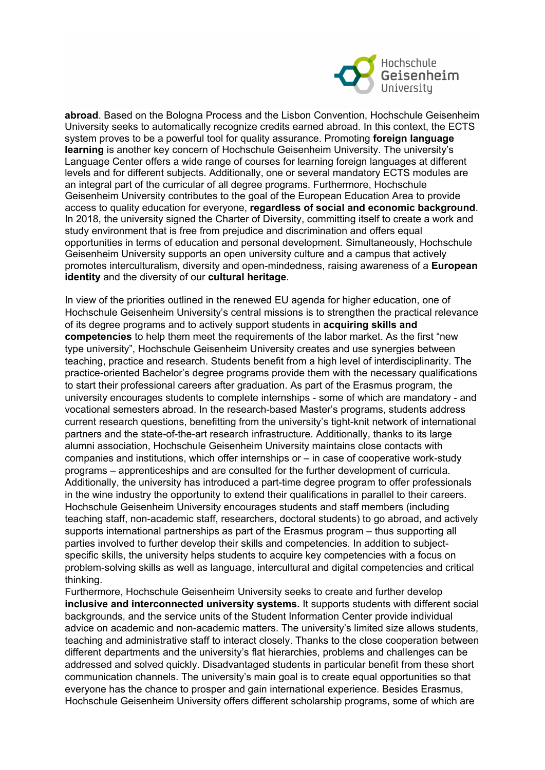

**abroad**. Based on the Bologna Process and the Lisbon Convention, Hochschule Geisenheim University seeks to automatically recognize credits earned abroad. In this context, the ECTS system proves to be a powerful tool for quality assurance. Promoting **foreign language learning** is another key concern of Hochschule Geisenheim University. The university's Language Center offers a wide range of courses for learning foreign languages at different levels and for different subjects. Additionally, one or several mandatory ECTS modules are an integral part of the curricular of all degree programs. Furthermore, Hochschule Geisenheim University contributes to the goal of the European Education Area to provide access to quality education for everyone, **regardless of social and economic background**. In 2018, the university signed the Charter of Diversity, committing itself to create a work and study environment that is free from prejudice and discrimination and offers equal opportunities in terms of education and personal development*.* Simultaneously, Hochschule Geisenheim University supports an open university culture and a campus that actively promotes interculturalism, diversity and open-mindedness, raising awareness of a **European identity** and the diversity of our **cultural heritage**.

In view of the priorities outlined in the renewed EU agenda for higher education, one of Hochschule Geisenheim University's central missions is to strengthen the practical relevance of its degree programs and to actively support students in **acquiring skills and competencies** to help them meet the requirements of the labor market. As the first "new type university", Hochschule Geisenheim University creates and use synergies between teaching, practice and research. Students benefit from a high level of interdisciplinarity. The practice-oriented Bachelor's degree programs provide them with the necessary qualifications to start their professional careers after graduation. As part of the Erasmus program, the university encourages students to complete internships - some of which are mandatory - and vocational semesters abroad. In the research-based Master's programs, students address current research questions, benefitting from the university's tight-knit network of international partners and the state-of-the-art research infrastructure. Additionally, thanks to its large alumni association, Hochschule Geisenheim University maintains close contacts with companies and institutions, which offer internships or – in case of cooperative work-study programs – apprenticeships and are consulted for the further development of curricula. Additionally, the university has introduced a part-time degree program to offer professionals in the wine industry the opportunity to extend their qualifications in parallel to their careers. Hochschule Geisenheim University encourages students and staff members (including teaching staff, non-academic staff, researchers, doctoral students) to go abroad, and actively supports international partnerships as part of the Erasmus program – thus supporting all parties involved to further develop their skills and competencies. In addition to subjectspecific skills, the university helps students to acquire key competencies with a focus on problem-solving skills as well as language, intercultural and digital competencies and critical thinking.

Furthermore, Hochschule Geisenheim University seeks to create and further develop **inclusive and interconnected university systems.** It supports students with different social backgrounds, and the service units of the Student Information Center provide individual advice on academic and non-academic matters. The university's limited size allows students, teaching and administrative staff to interact closely. Thanks to the close cooperation between different departments and the university's flat hierarchies, problems and challenges can be addressed and solved quickly. Disadvantaged students in particular benefit from these short communication channels. The university's main goal is to create equal opportunities so that everyone has the chance to prosper and gain international experience. Besides Erasmus, Hochschule Geisenheim University offers different scholarship programs, some of which are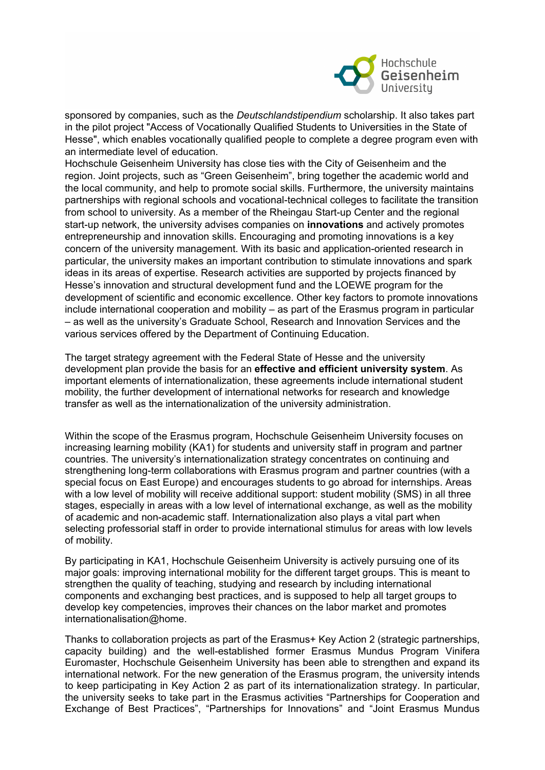

sponsored by companies, such as the *Deutschlandstipendium* scholarship. It also takes part in the pilot project "Access of Vocationally Qualified Students to Universities in the State of Hesse", which enables vocationally qualified people to complete a degree program even with an intermediate level of education.

Hochschule Geisenheim University has close ties with the City of Geisenheim and the region. Joint projects, such as "Green Geisenheim", bring together the academic world and the local community, and help to promote social skills. Furthermore, the university maintains partnerships with regional schools and vocational-technical colleges to facilitate the transition from school to university. As a member of the Rheingau Start-up Center and the regional start-up network, the university advises companies on **innovations** and actively promotes entrepreneurship and innovation skills. Encouraging and promoting innovations is a key concern of the university management. With its basic and application-oriented research in particular, the university makes an important contribution to stimulate innovations and spark ideas in its areas of expertise. Research activities are supported by projects financed by Hesse's innovation and structural development fund and the LOEWE program for the development of scientific and economic excellence. Other key factors to promote innovations include international cooperation and mobility – as part of the Erasmus program in particular – as well as the university's Graduate School, Research and Innovation Services and the various services offered by the Department of Continuing Education.

The target strategy agreement with the Federal State of Hesse and the university development plan provide the basis for an **effective and efficient university system**. As important elements of internationalization, these agreements include international student mobility, the further development of international networks for research and knowledge transfer as well as the internationalization of the university administration.

Within the scope of the Erasmus program, Hochschule Geisenheim University focuses on increasing learning mobility (KA1) for students and university staff in program and partner countries. The university's internationalization strategy concentrates on continuing and strengthening long-term collaborations with Erasmus program and partner countries (with a special focus on East Europe) and encourages students to go abroad for internships. Areas with a low level of mobility will receive additional support: student mobility (SMS) in all three stages, especially in areas with a low level of international exchange, as well as the mobility of academic and non-academic staff. Internationalization also plays a vital part when selecting professorial staff in order to provide international stimulus for areas with low levels of mobility.

By participating in KA1, Hochschule Geisenheim University is actively pursuing one of its major goals: improving international mobility for the different target groups. This is meant to strengthen the quality of teaching, studying and research by including international components and exchanging best practices, and is supposed to help all target groups to develop key competencies, improves their chances on the labor market and promotes internationalisation@home.

Thanks to collaboration projects as part of the Erasmus+ Key Action 2 (strategic partnerships, capacity building) and the well-established former Erasmus Mundus Program Vinifera Euromaster, Hochschule Geisenheim University has been able to strengthen and expand its international network. For the new generation of the Erasmus program, the university intends to keep participating in Key Action 2 as part of its internationalization strategy. In particular, the university seeks to take part in the Erasmus activities "Partnerships for Cooperation and Exchange of Best Practices", "Partnerships for Innovations" and "Joint Erasmus Mundus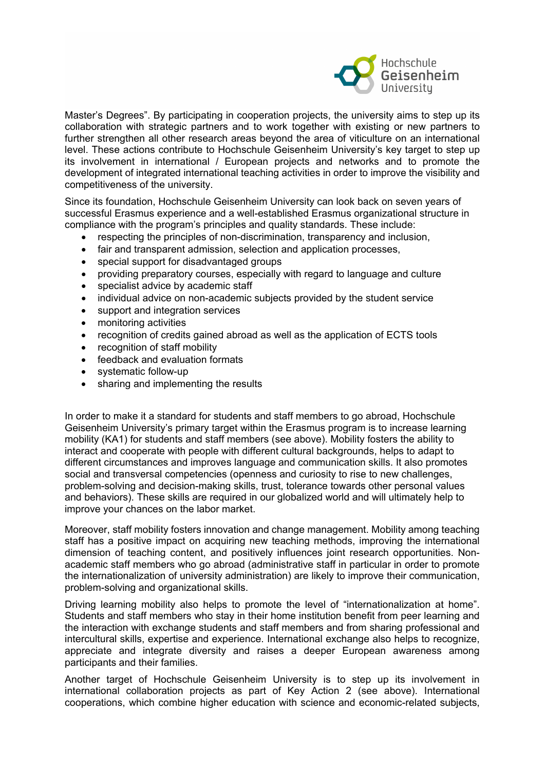

Master's Degrees". By participating in cooperation projects, the university aims to step up its collaboration with strategic partners and to work together with existing or new partners to further strengthen all other research areas beyond the area of viticulture on an international level. These actions contribute to Hochschule Geisenheim University's key target to step up its involvement in international / European projects and networks and to promote the development of integrated international teaching activities in order to improve the visibility and competitiveness of the university.

Since its foundation, Hochschule Geisenheim University can look back on seven years of successful Erasmus experience and a well-established Erasmus organizational structure in compliance with the program's principles and quality standards. These include:

- respecting the principles of non-discrimination, transparency and inclusion,
- fair and transparent admission, selection and application processes,
- special support for disadvantaged groups
- providing preparatory courses, especially with regard to language and culture
- specialist advice by academic staff
- individual advice on non-academic subjects provided by the student service
- support and integration services
- monitoring activities
- recognition of credits gained abroad as well as the application of ECTS tools
- recognition of staff mobility
- feedback and evaluation formats
- systematic follow-up
- sharing and implementing the results

In order to make it a standard for students and staff members to go abroad, Hochschule Geisenheim University's primary target within the Erasmus program is to increase learning mobility (KA1) for students and staff members (see above). Mobility fosters the ability to interact and cooperate with people with different cultural backgrounds, helps to adapt to different circumstances and improves language and communication skills. It also promotes social and transversal competencies (openness and curiosity to rise to new challenges, problem-solving and decision-making skills, trust, tolerance towards other personal values and behaviors). These skills are required in our globalized world and will ultimately help to improve your chances on the labor market.

Moreover, staff mobility fosters innovation and change management. Mobility among teaching staff has a positive impact on acquiring new teaching methods, improving the international dimension of teaching content, and positively influences joint research opportunities. Nonacademic staff members who go abroad (administrative staff in particular in order to promote the internationalization of university administration) are likely to improve their communication, problem-solving and organizational skills.

Driving learning mobility also helps to promote the level of "internationalization at home". Students and staff members who stay in their home institution benefit from peer learning and the interaction with exchange students and staff members and from sharing professional and intercultural skills, expertise and experience. International exchange also helps to recognize, appreciate and integrate diversity and raises a deeper European awareness among participants and their families.

Another target of Hochschule Geisenheim University is to step up its involvement in international collaboration projects as part of Key Action 2 (see above). International cooperations, which combine higher education with science and economic-related subjects,